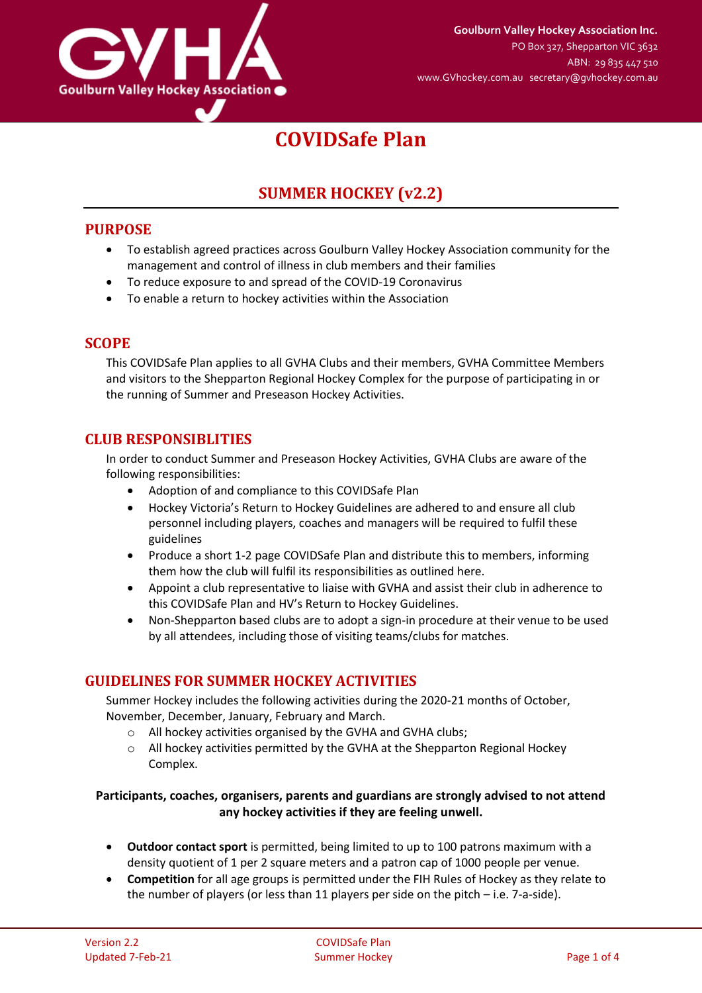

# **COVIDSafe Plan**

# **SUMMER HOCKEY (v2.2)**

## **PURPOSE**

- To establish agreed practices across Goulburn Valley Hockey Association community for the management and control of illness in club members and their families
- To reduce exposure to and spread of the COVID-19 Coronavirus
- To enable a return to hockey activities within the Association

#### **SCOPE**

This COVIDSafe Plan applies to all GVHA Clubs and their members, GVHA Committee Members and visitors to the Shepparton Regional Hockey Complex for the purpose of participating in or the running of Summer and Preseason Hockey Activities.

#### **CLUB RESPONSIBLITIES**

In order to conduct Summer and Preseason Hockey Activities, GVHA Clubs are aware of the following responsibilities:

- Adoption of and compliance to this COVIDSafe Plan
- Hockey Victoria's Return to Hockey Guidelines are adhered to and ensure all club personnel including players, coaches and managers will be required to fulfil these guidelines
- Produce a short 1-2 page COVIDSafe Plan and distribute this to members, informing them how the club will fulfil its responsibilities as outlined here.
- Appoint a club representative to liaise with GVHA and assist their club in adherence to this COVIDSafe Plan and HV's Return to Hockey Guidelines.
- Non-Shepparton based clubs are to adopt a sign-in procedure at their venue to be used by all attendees, including those of visiting teams/clubs for matches.

# **GUIDELINES FOR SUMMER HOCKEY ACTIVITIES**

Summer Hockey includes the following activities during the 2020-21 months of October, November, December, January, February and March.

- o All hockey activities organised by the GVHA and GVHA clubs;
- o All hockey activities permitted by the GVHA at the Shepparton Regional Hockey Complex.

#### **Participants, coaches, organisers, parents and guardians are strongly advised to not attend any hockey activities if they are feeling unwell.**

- **Outdoor contact sport** is permitted, being limited to up to 100 patrons maximum with a density quotient of 1 per 2 square meters and a patron cap of 1000 people per venue.
- **Competition** for all age groups is permitted under the FIH Rules of Hockey as they relate to the number of players (or less than 11 players per side on the pitch – i.e. 7-a-side).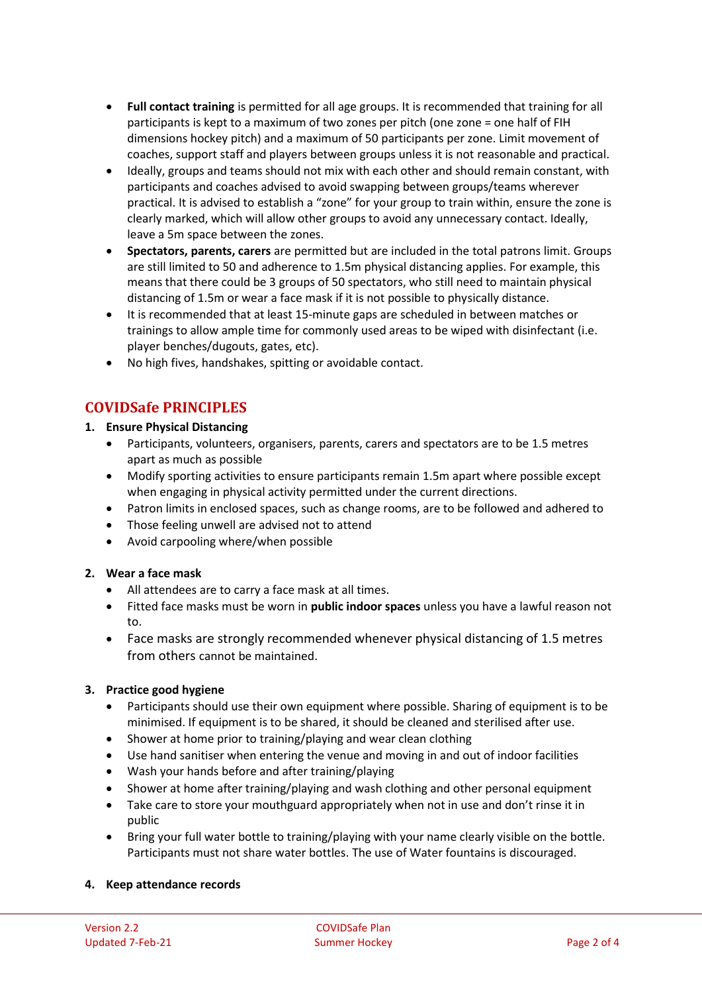- **Full contact training** is permitted for all age groups. It is recommended that training for all participants is kept to a maximum of two zones per pitch (one zone = one half of FIH dimensions hockey pitch) and a maximum of 50 participants per zone. Limit movement of coaches, support staff and players between groups unless it is not reasonable and practical.
- Ideally, groups and teams should not mix with each other and should remain constant, with participants and coaches advised to avoid swapping between groups/teams wherever practical. It is advised to establish a "zone" for your group to train within, ensure the zone is clearly marked, which will allow other groups to avoid any unnecessary contact. Ideally, leave a 5m space between the zones.
- **Spectators, parents, carers** are permitted but are included in the total patrons limit. Groups are still limited to 50 and adherence to 1.5m physical distancing applies. For example, this means that there could be 3 groups of 50 spectators, who still need to maintain physical distancing of 1.5m or wear a face mask if it is not possible to physically distance.
- It is recommended that at least 15-minute gaps are scheduled in between matches or trainings to allow ample time for commonly used areas to be wiped with disinfectant (i.e. player benches/dugouts, gates, etc).
- No high fives, handshakes, spitting or avoidable contact.

# **COVIDSafe PRINCIPLES**

#### **1. Ensure Physical Distancing**

- Participants, volunteers, organisers, parents, carers and spectators are to be 1.5 metres apart as much as possible
- Modify sporting activities to ensure participants remain 1.5m apart where possible except when engaging in physical activity permitted under the current directions.
- Patron limits in enclosed spaces, such as change rooms, are to be followed and adhered to
- Those feeling unwell are advised not to attend
- Avoid carpooling where/when possible

## **2. Wear a face mask**

- All attendees are to carry a face mask at all times.
- Fitted face masks must be worn in **public indoor spaces** unless you have a lawful reason not to.
- Face masks are strongly recommended whenever physical distancing of 1.5 metres from others cannot be maintained.

#### **3. Practice good hygiene**

- Participants should use their own equipment where possible. Sharing of equipment is to be minimised. If equipment is to be shared, it should be cleaned and sterilised after use.
- Shower at home prior to training/playing and wear clean clothing
- Use hand sanitiser when entering the venue and moving in and out of indoor facilities
- Wash your hands before and after training/playing
- Shower at home after training/playing and wash clothing and other personal equipment
- Take care to store your mouthguard appropriately when not in use and don't rinse it in public
- Bring your full water bottle to training/playing with your name clearly visible on the bottle. Participants must not share water bottles. The use of Water fountains is discouraged.

#### **4. Keep attendance records**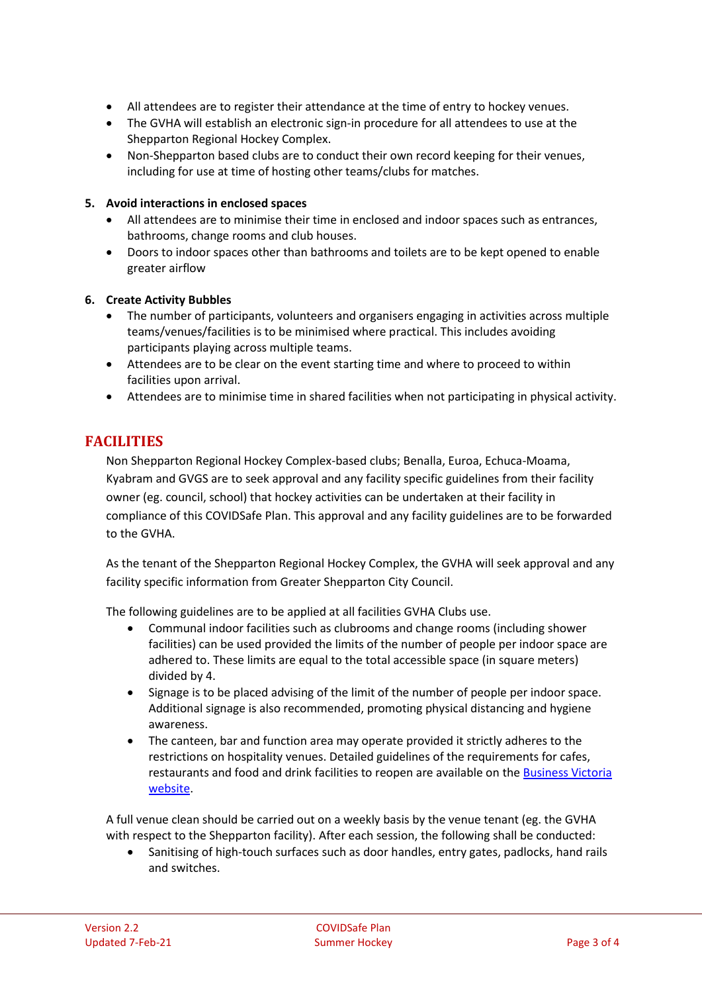- All attendees are to register their attendance at the time of entry to hockey venues.
- The GVHA will establish an electronic sign-in procedure for all attendees to use at the Shepparton Regional Hockey Complex.
- Non-Shepparton based clubs are to conduct their own record keeping for their venues, including for use at time of hosting other teams/clubs for matches.

#### **5. Avoid interactions in enclosed spaces**

- All attendees are to minimise their time in enclosed and indoor spaces such as entrances, bathrooms, change rooms and club houses.
- Doors to indoor spaces other than bathrooms and toilets are to be kept opened to enable greater airflow

#### **6. Create Activity Bubbles**

- The number of participants, volunteers and organisers engaging in activities across multiple teams/venues/facilities is to be minimised where practical. This includes avoiding participants playing across multiple teams.
- Attendees are to be clear on the event starting time and where to proceed to within facilities upon arrival.
- Attendees are to minimise time in shared facilities when not participating in physical activity.

## **FACILITIES**

Non Shepparton Regional Hockey Complex-based clubs; Benalla, Euroa, Echuca-Moama, Kyabram and GVGS are to seek approval and any facility specific guidelines from their facility owner (eg. council, school) that hockey activities can be undertaken at their facility in compliance of this COVIDSafe Plan. This approval and any facility guidelines are to be forwarded to the GVHA.

As the tenant of the Shepparton Regional Hockey Complex, the GVHA will seek approval and any facility specific information from Greater Shepparton City Council.

The following guidelines are to be applied at all facilities GVHA Clubs use.

- Communal indoor facilities such as clubrooms and change rooms (including shower facilities) can be used provided the limits of the number of people per indoor space are adhered to. These limits are equal to the total accessible space (in square meters) divided by 4.
- Signage is to be placed advising of the limit of the number of people per indoor space. Additional signage is also recommended, promoting physical distancing and hygiene awareness.
- The canteen, bar and function area may operate provided it strictly adheres to the restrictions on hospitality venues. Detailed guidelines of the requirements for cafes, restaurants and food and drink facilities to reopen are available on th[e Business Victoria](https://www.dhhs.vic.gov.au/restaurants-and-cafes-covid19)  [website.](https://www.dhhs.vic.gov.au/restaurants-and-cafes-covid19)

A full venue clean should be carried out on a weekly basis by the venue tenant (eg. the GVHA with respect to the Shepparton facility). After each session, the following shall be conducted:

 Sanitising of high-touch surfaces such as door handles, entry gates, padlocks, hand rails and switches.